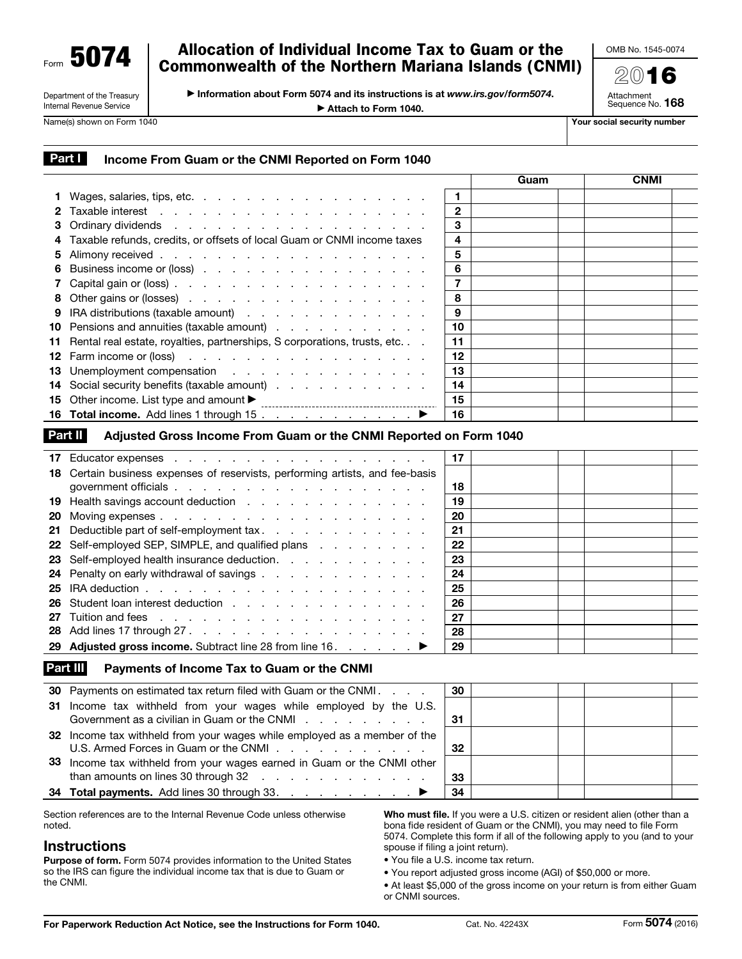Form 5074

#### Department of the Treasury Internal Revenue Service

# Allocation of Individual Income Tax to Guam or the Commonwealth of the Northern Mariana Islands (CNMI)

▶ Information about Form 5074 and its instructions is at *www.irs.gov/form5074*.

▶ Attach to Form 1040.

OMB No. 1545-0074

2016 Attachment Sequence No. 168

Name(s) shown on Form 1040 Your social security number

# Part I Income From Guam or the CNMI Reported on Form 1040

|   |                                                                                                      |              | Guam | <b>CNMI</b> |
|---|------------------------------------------------------------------------------------------------------|--------------|------|-------------|
|   |                                                                                                      |              |      |             |
|   |                                                                                                      | $\mathbf{2}$ |      |             |
|   |                                                                                                      | 3            |      |             |
|   | 4 Taxable refunds, credits, or offsets of local Guam or CNMI income taxes                            | 4            |      |             |
|   |                                                                                                      | 5            |      |             |
|   | 6 Business income or (loss)                                                                          | 6            |      |             |
|   |                                                                                                      |              |      |             |
|   | 8 Other gains or (losses)                                                                            | 8            |      |             |
| 9 | IRA distributions (taxable amount)                                                                   | 9            |      |             |
|   | 10 Pensions and annuities (taxable amount)                                                           | 10           |      |             |
|   | 11 Rental real estate, royalties, partnerships, S corporations, trusts, etc.                         | 11           |      |             |
|   | <b>12</b> Farm income or (loss) $\ldots$ $\ldots$ $\ldots$ $\ldots$ $\ldots$ $\ldots$ $\ldots$       | 12           |      |             |
|   | 13 Unemployment compensation                                                                         | 13           |      |             |
|   | 14 Social security benefits (taxable amount)                                                         | 14           |      |             |
|   | <b>15</b> Other income. List type and amount $\blacktriangleright$<br>------------------------------ | 15           |      |             |
|   |                                                                                                      | 16           |      |             |

## Part II Adjusted Gross Income From Guam or the CNMI Reported on Form 1040

|    |                                                                                                   | 17 |  |  |
|----|---------------------------------------------------------------------------------------------------|----|--|--|
|    | 18 Certain business expenses of reservists, performing artists, and fee-basis                     |    |  |  |
|    |                                                                                                   | 18 |  |  |
|    | 19 Health savings account deduction                                                               | 19 |  |  |
| 20 |                                                                                                   | 20 |  |  |
|    | 21 Deductible part of self-employment tax.                                                        | 21 |  |  |
|    | 22 Self-employed SEP, SIMPLE, and qualified plans                                                 | 22 |  |  |
|    | 23 Self-employed health insurance deduction.                                                      | 23 |  |  |
|    | 24 Penalty on early withdrawal of savings                                                         | 24 |  |  |
|    | 25 IRA deduction $\ldots$ $\ldots$ $\ldots$ $\ldots$ $\ldots$ $\ldots$ $\ldots$ $\ldots$ $\ldots$ | 25 |  |  |
|    |                                                                                                   | 26 |  |  |
|    |                                                                                                   | 27 |  |  |
|    |                                                                                                   | 28 |  |  |
|    | 29 Adjusted gross income. Subtract line 28 from line 16. ▶                                        | 29 |  |  |

### Part III Payments of Income Tax to Guam or the CNMI

| 30 Payments on estimated tax return filed with Guam or the CNMI.                                                                                                                                     | 30  |  |  |
|------------------------------------------------------------------------------------------------------------------------------------------------------------------------------------------------------|-----|--|--|
| 31 Income tax withheld from your wages while employed by the U.S.<br>Government as a civilian in Guam or the CNMI                                                                                    | -31 |  |  |
| 32 Income tax withheld from your wages while employed as a member of the                                                                                                                             | 32  |  |  |
| 33 Income tax withheld from your wages earned in Guam or the CNMI other<br>than amounts on lines 30 through $32 \cdot \cdot \cdot \cdot \cdot \cdot \cdot \cdot \cdot \cdot \cdot \cdot \cdot \cdot$ | 33  |  |  |
| 34 Total payments. Add lines 30 through 33. ▶                                                                                                                                                        | 34  |  |  |

Section references are to the Internal Revenue Code unless otherwise noted.

# **Instructions**

Purpose of form. Form 5074 provides information to the United States so the IRS can figure the individual income tax that is due to Guam or the CNMI.

Who must file. If you were a U.S. citizen or resident alien (other than a bona fide resident of Guam or the CNMI), you may need to file Form 5074. Complete this form if all of the following apply to you (and to your spouse if filing a joint return).

- You file a U.S. income tax return.
- You report adjusted gross income (AGI) of \$50,000 or more.

• At least \$5,000 of the gross income on your return is from either Guam or CNMI sources.